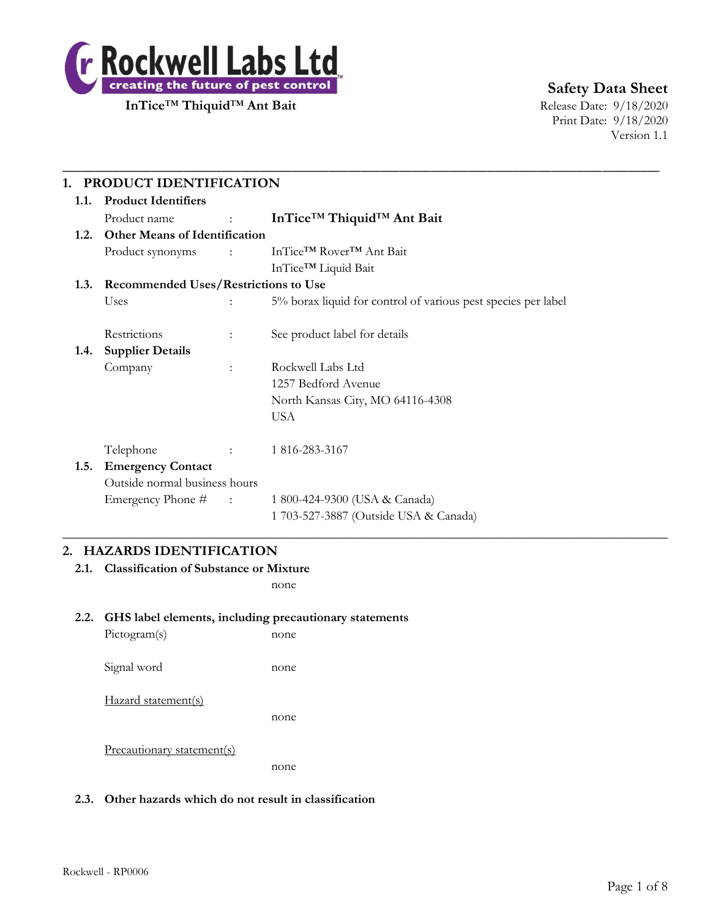

**Safety Data Sheet**

Print Date: 9/18/2020 Version 1.1

| 1.1. | <b>Product Identifiers</b>                  |                                   | PRODUCT IDENTIFICATION                                        |  |  |  |
|------|---------------------------------------------|-----------------------------------|---------------------------------------------------------------|--|--|--|
|      |                                             |                                   |                                                               |  |  |  |
|      | Product name                                | <b>Contract Contract Contract</b> | InTice <sup>™</sup> Thiquid <sup>™</sup> Ant Bait             |  |  |  |
| 1.2. | <b>Other Means of Identification</b>        |                                   |                                                               |  |  |  |
|      | Product synonyms                            | $\sim 10^{11}$ MeV                | InTice™ Rover™ Ant Bait                                       |  |  |  |
|      |                                             |                                   | InTice™ Liquid Bait                                           |  |  |  |
| 1.3. | <b>Recommended Uses/Restrictions to Use</b> |                                   |                                                               |  |  |  |
|      | Uses                                        |                                   | 5% borax liquid for control of various pest species per label |  |  |  |
|      | Restrictions                                | ÷                                 | See product label for details                                 |  |  |  |
| 1.4. | <b>Supplier Details</b>                     |                                   |                                                               |  |  |  |
|      | Company                                     | $\ddot{\phantom{a}}$              | Rockwell Labs Ltd                                             |  |  |  |
|      |                                             |                                   | 1257 Bedford Avenue                                           |  |  |  |
|      |                                             |                                   | North Kansas City, MO 64116-4308                              |  |  |  |
|      |                                             |                                   | <b>USA</b>                                                    |  |  |  |
|      | Telephone                                   |                                   | 1 816-283-3167                                                |  |  |  |
| 1.5. | <b>Emergency Contact</b>                    |                                   |                                                               |  |  |  |
|      | Outside normal business hours               |                                   |                                                               |  |  |  |
|      | Emergency Phone #                           | $\sim 1000$ and $\sim 1000$       | 1 800-424-9300 (USA & Canada)                                 |  |  |  |
|      |                                             |                                   | 1 703-527-3887 (Outside USA & Canada)                         |  |  |  |

## **2. HAZARDS IDENTIFICATION**

**2.1. Classification of Substance or Mixture**

none

# **2.2. GHS label elements, including precautionary statements**

| Pictogram(s)        | none |
|---------------------|------|
| Signal word         | none |
| Hazard statement(s) | none |
|                     |      |

Precautionary statement(s)

none

## **2.3. Other hazards which do not result in classification**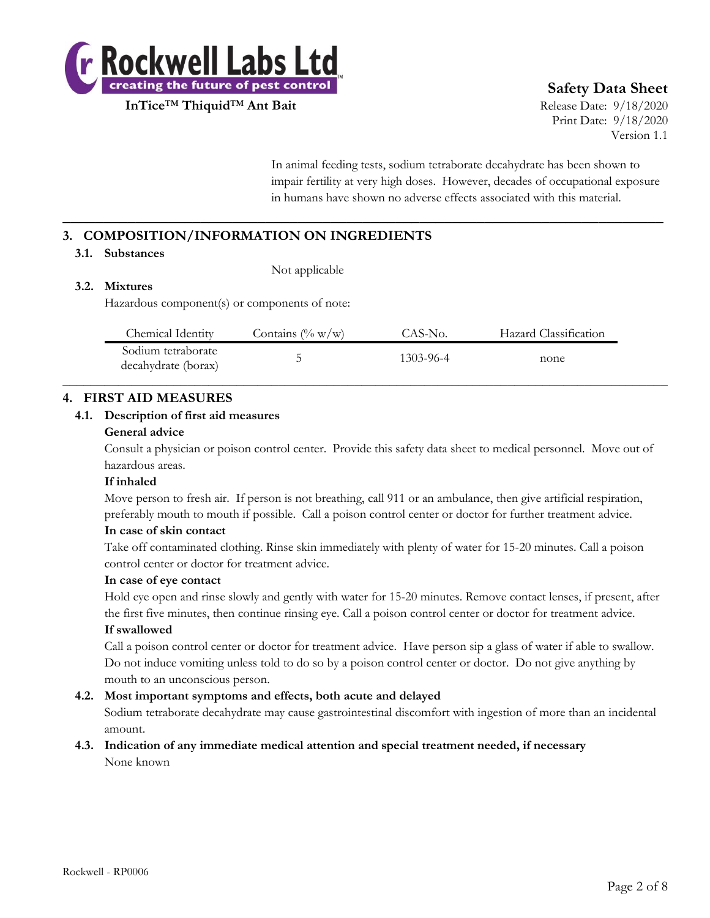

## **Safety Data Sheet**

Print Date: 9/18/2020 Version 1.1

In animal feeding tests, sodium tetraborate decahydrate has been shown to impair fertility at very high doses. However, decades of occupational exposure in humans have shown no adverse effects associated with this material.

## **3. COMPOSITION/INFORMATION ON INGREDIENTS**

#### **3.1. Substances**

Not applicable

### **3.2. Mixtures**

Hazardous component(s) or components of note:

| Chemical Identity                         | Contains $(\% w/w)$ | CAS-No.   | Hazard Classification |  |
|-------------------------------------------|---------------------|-----------|-----------------------|--|
| Sodium tetraborate<br>decahydrate (borax) |                     | 1303-96-4 | none                  |  |

**\_\_\_\_\_\_\_\_\_\_\_\_\_\_\_\_\_\_\_\_\_\_\_\_\_\_\_\_\_\_\_\_\_\_\_\_\_\_\_\_\_\_\_\_\_\_\_\_\_\_\_\_\_\_\_\_\_\_\_\_\_\_\_\_\_\_\_\_\_\_\_\_\_\_**

### **4. FIRST AID MEASURES**

#### **4.1. Description of first aid measures**

#### **General advice**

Consult a physician or poison control center. Provide this safety data sheet to medical personnel. Move out of hazardous areas.

#### **If inhaled**

Move person to fresh air. If person is not breathing, call 911 or an ambulance, then give artificial respiration, preferably mouth to mouth if possible. Call a poison control center or doctor for further treatment advice.

#### **In case of skin contact**

Take off contaminated clothing. Rinse skin immediately with plenty of water for 15-20 minutes. Call a poison control center or doctor for treatment advice.

#### **In case of eye contact**

Hold eye open and rinse slowly and gently with water for 15-20 minutes. Remove contact lenses, if present, after the first five minutes, then continue rinsing eye. Call a poison control center or doctor for treatment advice.

#### **If swallowed**

Call a poison control center or doctor for treatment advice. Have person sip a glass of water if able to swallow. Do not induce vomiting unless told to do so by a poison control center or doctor. Do not give anything by mouth to an unconscious person.

#### **4.2. Most important symptoms and effects, both acute and delayed**

Sodium tetraborate decahydrate may cause gastrointestinal discomfort with ingestion of more than an incidental amount.

#### **4.3. Indication of any immediate medical attention and special treatment needed, if necessary** None known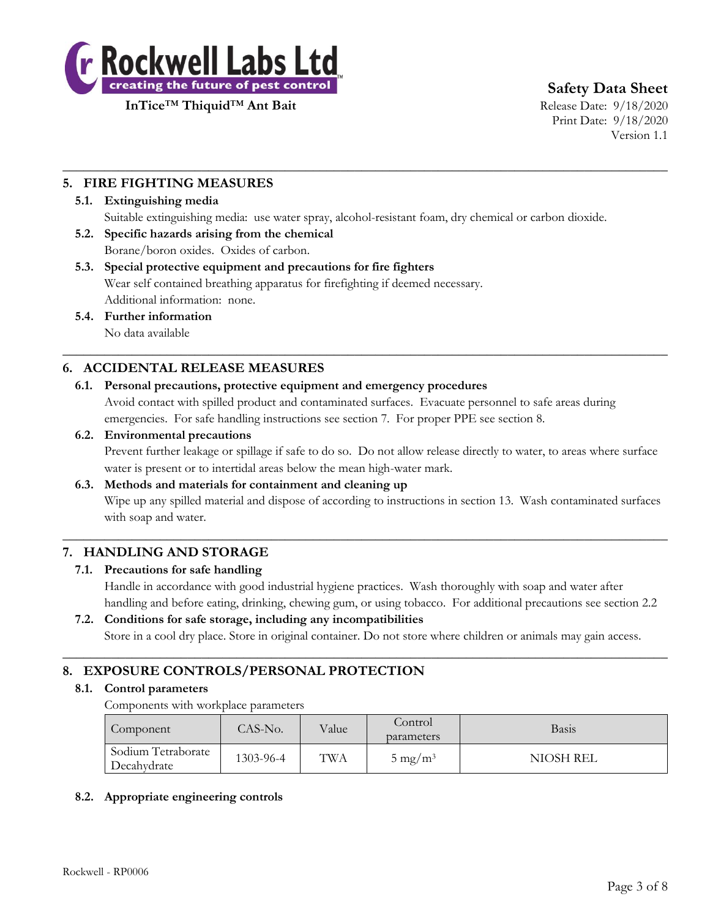

**Safety Data Sheet**

Print Date: 9/18/2020 Version 1.1

## **5. FIRE FIGHTING MEASURES**

#### **5.1. Extinguishing media**

Suitable extinguishing media: use water spray, alcohol-resistant foam, dry chemical or carbon dioxide.

 $\_$  , and the set of the set of the set of the set of the set of the set of the set of the set of the set of the set of the set of the set of the set of the set of the set of the set of the set of the set of the set of th

**5.2. Specific hazards arising from the chemical** Borane/boron oxides. Oxides of carbon.

## **5.3. Special protective equipment and precautions for fire fighters** Wear self contained breathing apparatus for firefighting if deemed necessary. Additional information: none.

## **5.4. Further information**

No data available

## **6. ACCIDENTAL RELEASE MEASURES**

## **6.1. Personal precautions, protective equipment and emergency procedures**

Avoid contact with spilled product and contaminated surfaces. Evacuate personnel to safe areas during emergencies. For safe handling instructions see section 7. For proper PPE see section 8.

 $\_$  , and the set of the set of the set of the set of the set of the set of the set of the set of the set of the set of the set of the set of the set of the set of the set of the set of the set of the set of the set of th

### **6.2. Environmental precautions**

Prevent further leakage or spillage if safe to do so. Do not allow release directly to water, to areas where surface water is present or to intertidal areas below the mean high-water mark.

#### **6.3. Methods and materials for containment and cleaning up**

Wipe up any spilled material and dispose of according to instructions in section 13. Wash contaminated surfaces with soap and water.

 $\_$  , and the set of the set of the set of the set of the set of the set of the set of the set of the set of the set of the set of the set of the set of the set of the set of the set of the set of the set of the set of th

## **7. HANDLING AND STORAGE**

#### **7.1. Precautions for safe handling**

Handle in accordance with good industrial hygiene practices. Wash thoroughly with soap and water after handling and before eating, drinking, chewing gum, or using tobacco. For additional precautions see section 2.2

## **7.2. Conditions for safe storage, including any incompatibilities**

Store in a cool dry place. Store in original container. Do not store where children or animals may gain access.

 $\_$  , and the set of the set of the set of the set of the set of the set of the set of the set of the set of the set of the set of the set of the set of the set of the set of the set of the set of the set of the set of th

## **8. EXPOSURE CONTROLS/PERSONAL PROTECTION**

#### **8.1. Control parameters**

Components with workplace parameters

| Component                         | CAS-No.   | Value | Control<br>parameters | Basis     |
|-----------------------------------|-----------|-------|-----------------------|-----------|
| Sodium Tetraborate<br>Decahydrate | 1303-96-4 | TWA   | $5 \text{ mg/m}^3$    | NIOSH REL |

## **8.2. Appropriate engineering controls**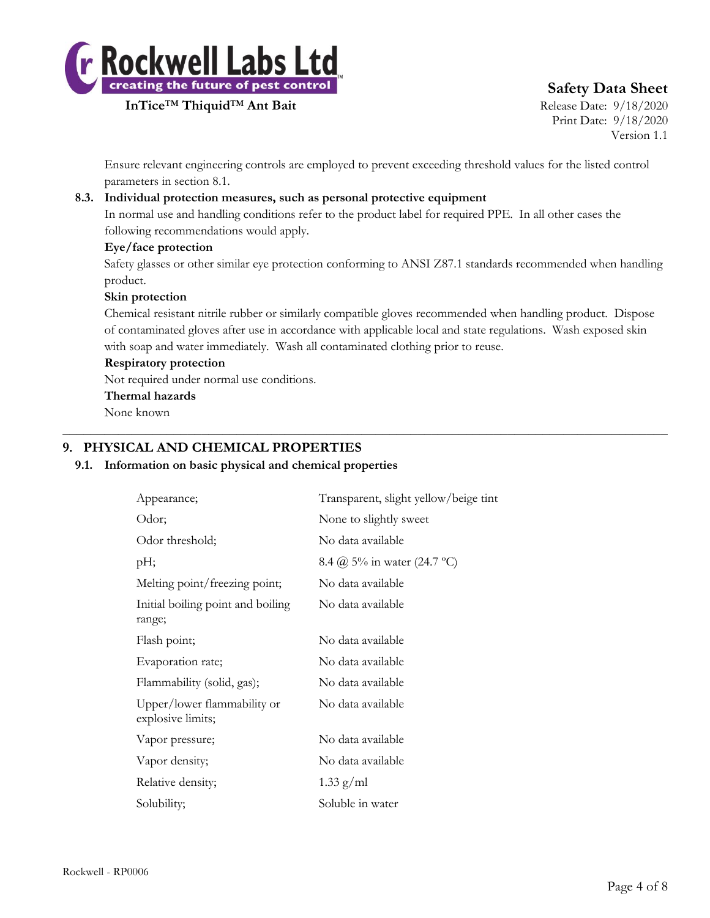

## **Safety Data Sheet**

Print Date: 9/18/2020 Version 1.1

Ensure relevant engineering controls are employed to prevent exceeding threshold values for the listed control parameters in section 8.1.

## **8.3. Individual protection measures, such as personal protective equipment**

In normal use and handling conditions refer to the product label for required PPE. In all other cases the following recommendations would apply.

#### **Eye/face protection**

Safety glasses or other similar eye protection conforming to ANSI Z87.1 standards recommended when handling product.

#### **Skin protection**

Chemical resistant nitrile rubber or similarly compatible gloves recommended when handling product. Dispose of contaminated gloves after use in accordance with applicable local and state regulations. Wash exposed skin with soap and water immediately. Wash all contaminated clothing prior to reuse.

 $\_$  , and the set of the set of the set of the set of the set of the set of the set of the set of the set of the set of the set of the set of the set of the set of the set of the set of the set of the set of the set of th

#### **Respiratory protection**

Not required under normal use conditions.

#### **Thermal hazards**

None known

## **9. PHYSICAL AND CHEMICAL PROPERTIES**

#### **9.1. Information on basic physical and chemical properties**

| Appearance;                                      | Transparent, slight yellow/beige tint |
|--------------------------------------------------|---------------------------------------|
| Odor;                                            | None to slightly sweet                |
| Odor threshold;                                  | No data available                     |
| pH;                                              | 8.4 @ 5% in water (24.7 °C)           |
| Melting point/freezing point;                    | No data available                     |
| Initial boiling point and boiling<br>range;      | No data available                     |
| Flash point;                                     | No data available                     |
| Evaporation rate;                                | No data available                     |
| Flammability (solid, gas);                       | No data available                     |
| Upper/lower flammability or<br>explosive limits; | No data available                     |
| Vapor pressure;                                  | No data available                     |
| Vapor density;                                   | No data available                     |
| Relative density;                                | $1.33$ g/ml                           |
| Solubility;                                      | Soluble in water                      |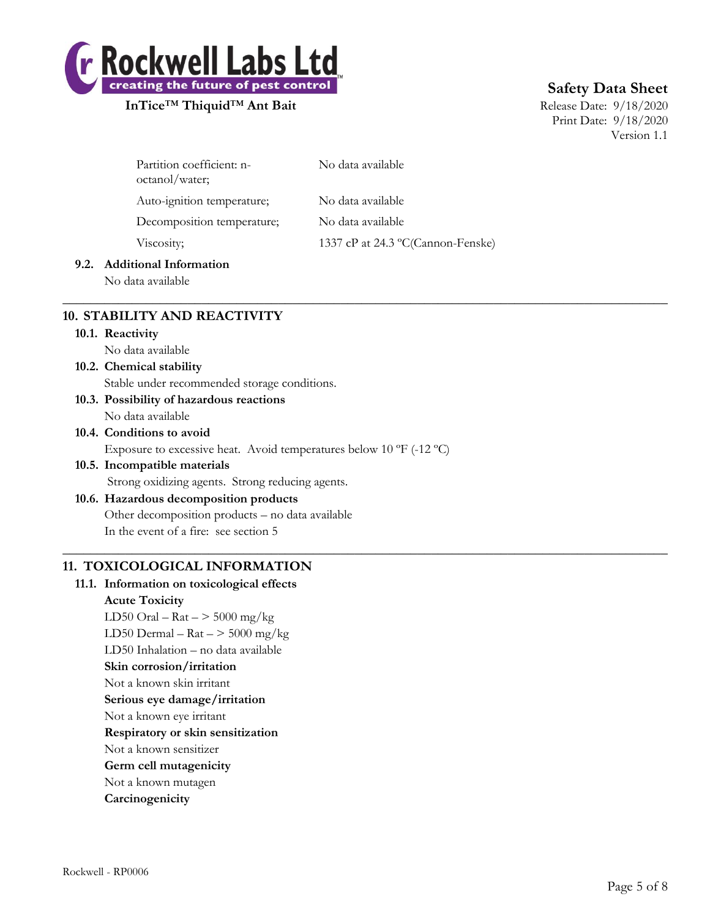

## **Safety Data Sheet**

Print Date: 9/18/2020 Version 1.1

| Partition coefficient: n-<br>octanol/water; | No data available                 |
|---------------------------------------------|-----------------------------------|
| Auto-ignition temperature;                  | No data available                 |
| Decomposition temperature;                  | No data available                 |
| Viscosity;                                  | 1337 cP at 24.3 °C(Cannon-Fenske) |
|                                             |                                   |

 $\_$  , and the set of the set of the set of the set of the set of the set of the set of the set of the set of the set of the set of the set of the set of the set of the set of the set of the set of the set of the set of th

 $\_$  , and the set of the set of the set of the set of the set of the set of the set of the set of the set of the set of the set of the set of the set of the set of the set of the set of the set of the set of the set of th

### **9.2. Additional Information**

No data available

## **10. STABILITY AND REACTIVITY**

**10.1. Reactivity**

No data available

#### **10.2. Chemical stability** Stable under recommended storage conditions.

- **10.3. Possibility of hazardous reactions**
- No data available
- **10.4. Conditions to avoid** Exposure to excessive heat. Avoid temperatures below 10 ºF (-12 ºC)
- **10.5. Incompatible materials** Strong oxidizing agents. Strong reducing agents.
- **10.6. Hazardous decomposition products** Other decomposition products – no data available In the event of a fire: see section 5

## **11. TOXICOLOGICAL INFORMATION**

## **11.1. Information on toxicological effects Acute Toxicity** LD50 Oral –  $\text{Rat}$  –  $>$  5000 mg/kg LD50 Dermal –  $\text{Rat}$  –  $>$  5000 mg/kg LD50 Inhalation – no data available **Skin corrosion/irritation** Not a known skin irritant **Serious eye damage/irritation**

- Not a known eye irritant
- **Respiratory or skin sensitization**
- Not a known sensitizer
- **Germ cell mutagenicity**
- Not a known mutagen
- **Carcinogenicity**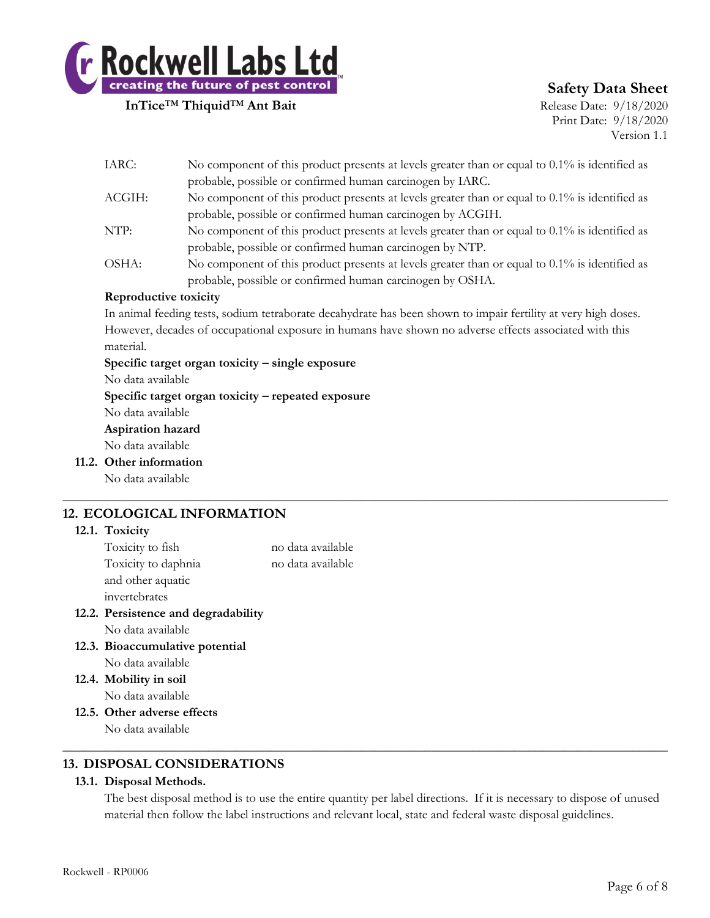

## **Safety Data Sheet**

Print Date: 9/18/2020 Version 1.1

| IARC:                 | No component of this product presents at levels greater than or equal to $0.1\%$ is identified as              |
|-----------------------|----------------------------------------------------------------------------------------------------------------|
|                       | probable, possible or confirmed human carcinogen by IARC.                                                      |
| ACGIH:                | No component of this product presents at levels greater than or equal to 0.1% is identified as                 |
|                       | probable, possible or confirmed human carcinogen by ACGIH.                                                     |
| NTP:                  | No component of this product presents at levels greater than or equal to 0.1% is identified as                 |
|                       | probable, possible or confirmed human carcinogen by NTP.                                                       |
| OSHA:                 | No component of this product presents at levels greater than or equal to 0.1% is identified as                 |
|                       | probable, possible or confirmed human carcinogen by OSHA.                                                      |
| Reproductive toxicity |                                                                                                                |
|                       | In animal feeding tests, sodium tetraborate decahydrate has been shown to impair fertility at very high doses, |

In animal feeding tests, sodium tetraborate decahydrate has been shown to impair fertility at very high doses. However, decades of occupational exposure in humans have shown no adverse effects associated with this material.

 $\_$  , and the set of the set of the set of the set of the set of the set of the set of the set of the set of the set of the set of the set of the set of the set of the set of the set of the set of the set of the set of th

**Specific target organ toxicity – single exposure**

No data available

**Specific target organ toxicity – repeated exposure**

No data available

#### **Aspiration hazard**

No data available

**11.2. Other information**

No data available

## **12. ECOLOGICAL INFORMATION**

#### **12.1. Toxicity**

| Toxicity to fish    | no data available |
|---------------------|-------------------|
| Toxicity to daphnia | no data available |
| and other aquatic   |                   |
| invertebrates       |                   |
|                     |                   |

- **12.2. Persistence and degradability** No data available
- **12.3. Bioaccumulative potential** No data available
- **12.4. Mobility in soil** No data available
- **12.5. Other adverse effects** No data available

## **13. DISPOSAL CONSIDERATIONS**

#### **13.1. Disposal Methods.**

The best disposal method is to use the entire quantity per label directions. If it is necessary to dispose of unused material then follow the label instructions and relevant local, state and federal waste disposal guidelines.

 $\_$  , and the set of the set of the set of the set of the set of the set of the set of the set of the set of the set of the set of the set of the set of the set of the set of the set of the set of the set of the set of th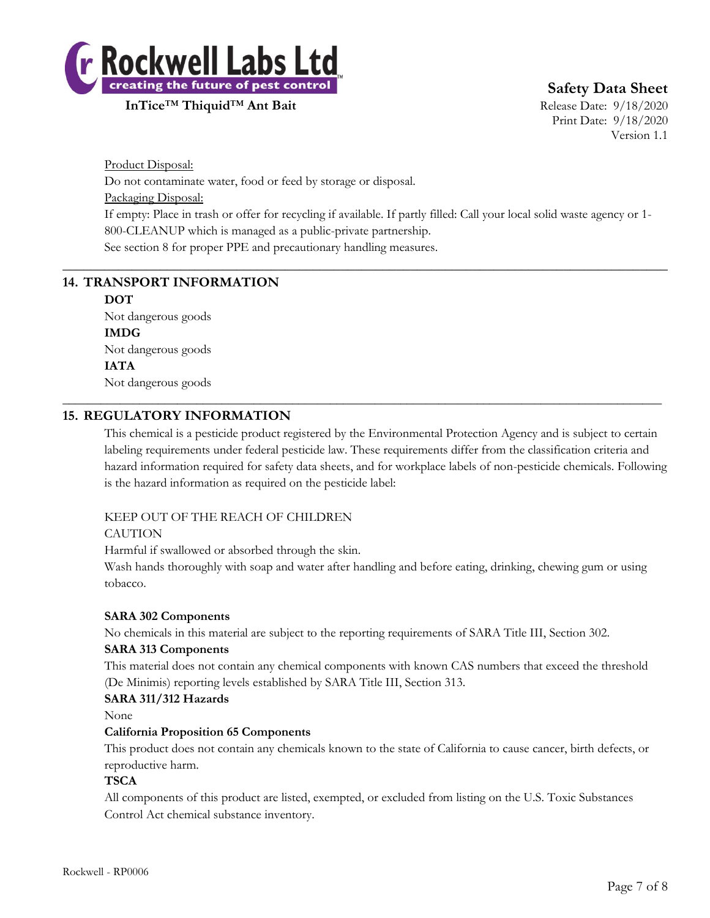

**Safety Data Sheet**

Print Date: 9/18/2020 Version 1.1

Product Disposal: Do not contaminate water, food or feed by storage or disposal. Packaging Disposal: If empty: Place in trash or offer for recycling if available. If partly filled: Call your local solid waste agency or 1- 800-CLEANUP which is managed as a public-private partnership. See section 8 for proper PPE and precautionary handling measures.

 $\_$  , and the set of the set of the set of the set of the set of the set of the set of the set of the set of the set of the set of the set of the set of the set of the set of the set of the set of the set of the set of th

\_\_\_\_\_\_\_\_\_\_\_\_\_\_\_\_\_\_\_\_\_\_\_\_\_\_\_\_\_\_\_\_\_\_\_\_\_\_\_\_\_\_\_\_\_\_\_\_\_\_\_\_\_\_\_\_\_\_\_\_\_\_\_\_\_\_\_\_\_\_\_\_\_\_\_\_\_\_\_\_\_\_\_\_\_\_\_\_\_\_\_\_\_\_

## **14. TRANSPORT INFORMATION**

**DOT** Not dangerous goods **IMDG** Not dangerous goods **IATA**

Not dangerous goods

### **15. REGULATORY INFORMATION**

This chemical is a pesticide product registered by the Environmental Protection Agency and is subject to certain labeling requirements under federal pesticide law. These requirements differ from the classification criteria and hazard information required for safety data sheets, and for workplace labels of non-pesticide chemicals. Following is the hazard information as required on the pesticide label:

#### KEEP OUT OF THE REACH OF CHILDREN

#### **CAUTION**

Harmful if swallowed or absorbed through the skin.

Wash hands thoroughly with soap and water after handling and before eating, drinking, chewing gum or using tobacco.

#### **SARA 302 Components**

No chemicals in this material are subject to the reporting requirements of SARA Title III, Section 302.

#### **SARA 313 Components**

This material does not contain any chemical components with known CAS numbers that exceed the threshold (De Minimis) reporting levels established by SARA Title III, Section 313.

#### **SARA 311/312 Hazards**

None

#### **California Proposition 65 Components**

This product does not contain any chemicals known to the state of California to cause cancer, birth defects, or reproductive harm.

#### **TSCA**

All components of this product are listed, exempted, or excluded from listing on the U.S. Toxic Substances Control Act chemical substance inventory.